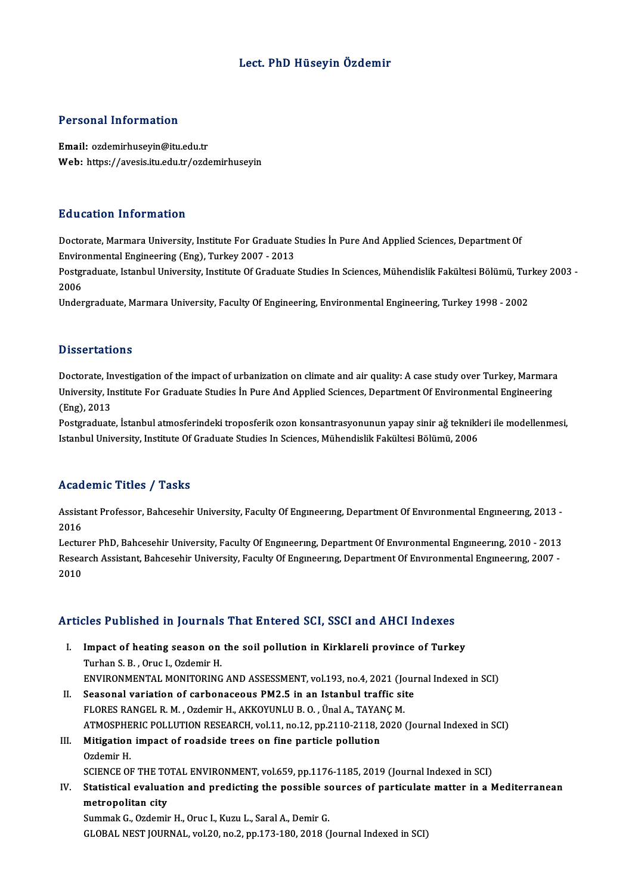# Lect. PhD Hüseyin Özdemir

### Personal Information

Email: ozdemirhuseyin@itu.edu.tr Web: https://avesis.itu.edu.tr/ozdemirhuseyin

#### Education Information

Doctorate, Marmara University, Institute For Graduate Studies İn Pure And Applied Sciences, Department Of EnvironmentalEngineering (Eng),Turkey2007 -2013 Doctorate, Marmara University, Institute For Graduate Studies İn Pure And Applied Sciences, Department Of<br>Environmental Engineering (Eng), Turkey 2007 - 2013<br>Postgraduate, Istanbul University, Institute Of Graduate Studies

Enviro<br>Postgi<br>2006<br>Under Postgraduate, Istanbul University, Institute Of Graduate Studies In Sciences, Mühendislik Fakültesi Bölümü, Tur<br>2006<br>Undergraduate, Marmara University, Faculty Of Engineering, Environmental Engineering, Turkey 1998 - 2002

Undergraduate, Marmara University, Faculty Of Engineering, Environmental Engineering, Turkey 1998 - 2002<br>-<br>Dissertations

**Dissertations**<br>Doctorate, Investigation of the impact of urbanization on climate and air quality: A case study over Turkey, Marmara<br>University Institute For Craduate Studies in Rure And Annlied Sciences, Denartment Of Env Disself cations<br>Doctorate, Investigation of the impact of urbanization on climate and air quality: A case study over Turkey, Marmara<br>University, Institute For Graduate Studies İn Pure And Applied Sciences, Department Of En Doctorate, In<br>University, In<br>(Eng), 2013<br>Postanaduate University, Institute For Graduate Studies İn Pure And Applied Sciences, Department Of Environmental Engineering<br>(Eng), 2013<br>Postgraduate, İstanbul atmosferindeki troposferik ozon konsantrasyonunun yapay sinir ağ teknikler

(Eng), 2013<br>Postgraduate, İstanbul atmosferindeki troposferik ozon konsantrasyonunun yapay sinir ağ teknikl<br>Istanbul University, Institute Of Graduate Studies In Sciences, Mühendislik Fakültesi Bölümü, 2006 Istanbul University, Institute Of Graduate Studies In Sciences, Mühendislik Fakültesi Bölümü, 2006<br>Academic Titles / Tasks

**Academic Titles / Tasks**<br>Assistant Professor, Bahcesehir University, Faculty Of Engıneerıng, Department Of Envıronmental Engıneerıng, 2013 -<br>2016 Assist<br>Assist<br>2016 Assistant Professor, Bahcesehir University, Faculty Of Engineering, Department Of Environmental Engineering, 2013 -<br>2016<br>Lecturer PhD, Bahcesehir University, Faculty Of Engineering, Department Of Environmental Engineering,

2016<br>Lecturer PhD, Bahcesehir University, Faculty Of Engıneerıng, Department Of Envıronmental Engıneerıng, 2010 - 2013<br>Research Assistant, Bahcesehir University, Faculty Of Engıneerıng, Department Of Envıronmental Engıneer Lectui<br>Resea<br>2010

# 2010<br>Articles Published in Journals That Entered SCI, SSCI and AHCI Indexes

- rticles Published in Journals That Entered SCI, SSCI and AHCI Indexes<br>I. Impact of heating season on the soil pollution in Kirklareli province of Turkey<br>Turban S.B. Orus L.Ozdomir H I. Impact of heating season on the soil pollution in Kirklareli province of Turkey<br>Turhan S.B., Oruc I., Ozdemir H. Impact of heating season on the soil pollution in Kirklareli province of Turkey<br>Turhan S. B. , Oruc I., Ozdemir H.<br>ENVIRONMENTAL MONITORING AND ASSESSMENT, vol.193, no.4, 2021 (Journal Indexed in SCI)<br>Seasonal variation of
- Turhan S. B., Oruc I., Ozdemir H.<br>ENVIRONMENTAL MONITORING AND ASSESSMENT, vol.193, no.4, 2021 (Jour<br>II. Seasonal variation of carbonaceous PM2.5 in an Istanbul traffic site<br>ELOPES BANCEL B. M., Ordemir H. AKKOVINI U.B.O., ENVIRONMENTAL MONITORING AND ASSESSMENT, vol.193, no.4, 2021 (Jc<br>Seasonal variation of carbonaceous PM2.5 in an Istanbul traffic si<br>FLORES RANGEL R. M. , Ozdemir H., AKKOYUNLU B. O. , Ünal A., TAYANÇ M.<br>ATMOSPUERIC POLLUTI Seasonal variation of carbonaceous PM2.5 in an Istanbul traffic site<br>FLORES RANGEL R. M. , Ozdemir H., AKKOYUNLU B. O. , Ünal A., TAYANÇ M.<br>ATMOSPHERIC POLLUTION RESEARCH, vol.11, no.12, pp.2110-2118, 2020 (Journal Indexed FLORES RANGEL R. M. , Ozdemir H., AKKOYUNLU B. O. , Ünal A., TAYAN<br>ATMOSPHERIC POLLUTION RESEARCH, vol.11, no.12, pp.2110-2118, 2<br>III. Mitigation impact of roadside trees on fine particle pollution<br>Ordemir H
- ATMOSPHE<br>Mitigation<br>Ozdemir H.<br>SCIENCE OI Mitigation impact of roadside trees on fine particle pollution<br>Ozdemir H.<br>SCIENCE OF THE TOTAL ENVIRONMENT, vol.659, pp.1176-1185, 2019 (Journal Indexed in SCI)<br>Statistical evoluation and prodicting the pessible seurese of
- Ozdemir H.<br>SCIENCE OF THE TOTAL ENVIRONMENT, vol.659, pp.1176-1185, 2019 (Journal Indexed in SCI)<br>IV. Statistical evaluation and predicting the possible sources of particulate matter in a Mediterranean<br>metropolitan city SCIENCE OF THE TO<br>Statistical evaluat<br>metropolitan city<br>Summak C. Ordomit

Summak G., Ozdemir H., Oruc I., Kuzu L., Saral A., Demir G. GLOBAL NEST JOURNAL, vol.20, no.2, pp.173-180, 2018 (Journal Indexed in SCI)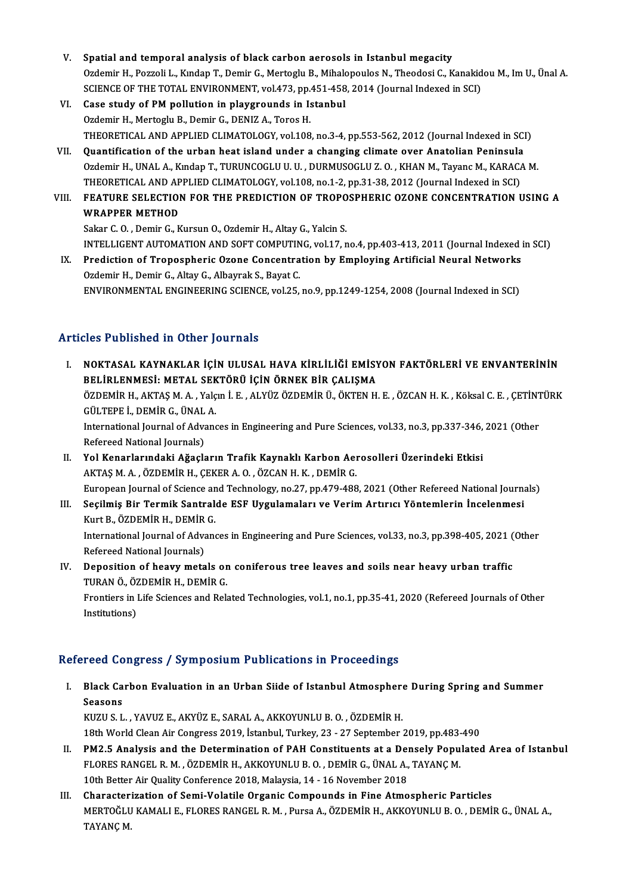- V. Spatial and temporal analysis of black carbon aerosols in Istanbulmegacity Spatial and temporal analysis of black carbon aerosols in Istanbul megacity<br>Ozdemir H., Pozzoli L., Kındap T., Demir G., Mertoglu B., Mihalopoulos N., Theodosi C., Kanakidou M., Im U., Ünal A.<br>SCIENCE OF THE TOTAL ENVIRONM Spatial and temporal analysis of black carbon aerosols in Istanbul megacity<br>Ozdemir H., Pozzoli L., Kındap T., Demir G., Mertoglu B., Mihalopoulos N., Theodosi C., Kanakid<br>SCIENCE OF THE TOTAL ENVIRONMENT, vol.473, pp.451-SCIENCE OF THE TOTAL ENVIRONMENT, vol.473, pp.451-458, 2014 (Journal Indexed in SCI)
- VI. Case study of PM pollution in playgrounds in Istanbul Ozdemir H., Mertoglu B., Demir G., DENIZ A., Toros H. Case study of PM pollution in playgrounds in Istanbul<br>Ozdemir H., Mertoglu B., Demir G., DENIZ A., Toros H.<br>THEORETICAL AND APPLIED CLIMATOLOGY, vol.108, no.3-4, pp.553-562, 2012 (Journal Indexed in SCI)<br>Quantification of Ozdemir H., Mertoglu B., Demir G., DENIZ A., Toros H.<br>THEORETICAL AND APPLIED CLIMATOLOGY, vol.108, no.3-4, pp.553-562, 2012 (Journal Indexed in SCI<br>VII. Quantification of the urban heat island under a changing climate ove
- THEORETICAL AND APPLIED CLIMATOLOGY, vol.108, no.3-4, pp.553-562, 2012 (Journal Indexed in SCI)<br>Quantification of the urban heat island under a changing climate over Anatolian Peninsula<br>Ozdemir H., UNAL A., Kındap T., TURU Quantification of the urban heat island under a changing climate over Anatolian Peninsula<br>Ozdemir H., UNAL A., Kındap T., TURUNCOGLU U. U. , DURMUSOGLU Z. O. , KHAN M., Tayanc M., KARAC.<br>THEORETICAL AND APPLIED CLIMATOLOGY THEORETICAL AND APPLIED CLIMATOLOGY, vol.108, no.1-2, pp.31-38, 2012 (Journal Indexed in SCI)
- Ozdemir H., UNAL A., Kındap T., TURUNCOGLU U. U. , DURMUSOGLU Z. O. , KHAN M., Tayanc M., KARACA M.<br>THEORETICAL AND APPLIED CLIMATOLOGY, vol.108, no.1-2, pp.31-38, 2012 (Journal Indexed in SCI)<br>VIII. FEATURE SELECTION FOR

Sakar C.O., Demir G., Kursun O., Ozdemir H., Altay G., Yalcin S.

INTELLIGENT AUTOMATION AND SOFT COMPUTING, vol.17, no.4, pp.403-413, 2011 (Journal Indexed in SCI)

Sakar C. O., Demir G., Kursun O., Ozdemir H., Altay G., Yalcin S.<br>INTELLIGENT AUTOMATION AND SOFT COMPUTING, vol.17, no.4, pp.403-413, 2011 (Journal Indexed :<br>IX. Prediction of Tropospheric Ozone Concentration by Employing INTELLIGENT AUTOMATION AND SOFT COMPUTIN<br>Prediction of Tropospheric Ozone Concentra<br>Ozdemir H., Demir G., Altay G., Albayrak S., Bayat C.<br>ENVIRONMENTAL ENCINEERING SCIENGE vol 25 Prediction of Tropospheric Ozone Concentration by Employing Artificial Neural Networks<br>Ozdemir H., Demir G., Altay G., Albayrak S., Bayat C.<br>ENVIRONMENTAL ENGINEERING SCIENCE, vol.25, no.9, pp.1249-1254, 2008 (Journal Inde

# ENVIRONMENTAL ENGINEERING SCIENCE, vol.25, no.9, pp.1249-1254, 2008 (Journal Indexed in SCI)<br>Articles Published in Other Journals

IT ER ENDISTANDAN ARTI SAHIRLIKLAR İÇIN ULUSAL HAVA KİRLİLİĞİ EMİSYON FAKTÖRLERİ VE ENVANTERININ<br>I. DELİBI ENMESİ, METAL SEKTÖRÜ İÇİN ÖRNEK BİR CALISMA SIST ABIBINDA IN OMER JOARIYAT<br>BELİRLENMESİ: METAL SEKTÖRÜ İÇİN ÖRNEK BİR ÇALIŞMA<br>ÖZDEMİR HAKTASMA YOKULE ALVÜZ ÖZDEMİR Ü ÖKTEN H NOKTASAL KAYNAKLAR İÇİN ULUSAL HAVA KİRLİLİĞİ EMİSYON FAKTÖRLERİ VE ENVANTERİNİN<br>BELİRLENMESİ: METAL SEKTÖRÜ İÇİN ÖRNEK BİR ÇALIŞMA<br>ÖZDEMİR H., AKTAŞ M. A. , Yalçın İ. E. , ALYÜZ ÖZDEMİR Ü., ÖKTEN H. E. , ÖZCAN H. K. , Kök BELİRLENMESİ: METAL SEKTÖRÜ İÇİN ÖRNEK BİR ÇALIŞMA<br>ÖZDEMİR H., AKTAŞ M. A. , Yalçın İ. E. , ALYÜZ ÖZDEMİR Ü., ÖKTEN H. E. , ÖZCAN H. K. , Köksal C. E. , ÇETİNT<br>GÜLTEPE İ., DEMİR G., ÜNAL A.<br>International Journal of Advance

ÖZDEMİR H., AKTAŞ M. A. , Yalçın İ. E. , ALYÜZ ÖZDEMİR Ü., ÖKTEN H. E. , ÖZCAN H. K. , Köksal C. E. , ÇETİNT<br>GÜLTEPE İ., DEMİR G., ÜNAL A.<br>International Journal of Advances in Engineering and Pure Sciences, vol.33, no.3, p GÜLTEPE İ., DEMİR G., ÜNAL A.<br>International Journal of Advanc<br>Refereed National Journals) International Journal of Advances in Engineering and Pure Sciences, vol.33, no.3, pp.337-346,<br>Refereed National Journals)<br>II. Yol Kenarlarındaki Ağaçların Trafik Kaynaklı Karbon Aerosolleri Üzerindeki Etkisi<br>AKTASM A. ÖZDE

- Refereed National Journals)<br>Yol Kenarlarındaki Ağaçların Trafik Kaynaklı Karbon Aeı<br>AKTAŞ M. A. , ÖZDEMİR H., ÇEKER A. O. , ÖZCAN H. K. , DEMİR G.<br>Euronean Journal of Science and Technology, no 27, np 479,499 AKTAŞ M. A. , ÖZDEMİR H., ÇEKER A. O. , ÖZCAN H. K. , DEMİR G.<br>European Journal of Science and Technology, no.27, pp.479-488, 2021 (Other Refereed National Journals) AKTAŞ M. A., ÖZDEMİR H., ÇEKER A. O., ÖZCAN H. K., DEMİR G.<br>European Journal of Science and Technology, no.27, pp.479-488, 2021 (Other Refereed National Journa<br>III. Seçilmiş Bir Termik Santralde ESF Uygulamaları ve Verim A
- European Journal of Science an<br>Seçilmiş Bir Termik Santral<br>Kurt B., ÖZDEMİR H., DEMİR G.<br>International Iournal of Advan Seçilmiş Bir Termik Santralde ESF Uygulamaları ve Verim Artırıcı Yöntemlerin İncelenmesi<br>Kurt B., ÖZDEMİR H., DEMİR G.<br>International Journal of Advances in Engineering and Pure Sciences, vol.33, no.3, pp.398-405, 2021 (Oth Kurt B., ÖZDEMİR H., DEMİR G.<br>International Journal of Advances in Engineering and Pure Sciences, vol.33, no.3, pp.398-405, 2021 (Other<br>Refereed National Journals)

International Journal of Advances in Engineering and Pure Sciences, vol.33, no.3, pp.398-405, 2021 (<br>Refereed National Journals)<br>IV. Deposition of heavy metals on coniferous tree leaves and soils near heavy urban traffic<br>T

Refereed National Journals)<br>Deposition of heavy metals or<br>TURAN Ö., ÖZDEMİR H., DEMİR G.<br>Frontions in Life Sciences and Pok Deposition of heavy metals on coniferous tree leaves and soils near heavy urban traffic<br>TURAN Ö., ÖZDEMİR H., DEMİR G.<br>Frontiers in Life Sciences and Related Technologies, vol.1, no.1, pp.35-41, 2020 (Refereed Journals of

TURAN Ö., ÖZ<br>Frontiers in l<br>Institutions)

# Institutions)<br>Refereed Congress / Symposium Publications in Proceedings

efereed Congress / Symposium Publications in Proceedings<br>I. Black Carbon Evaluation in an Urban Siide of Istanbul Atmosphere During Spring and Summer<br>Seasons Peed de<br>Black Ca<br>Seasons<br>VIIZU S-L Black Carbon Evaluation in an Urban Siide of Istanbul Atmosphere<br>Seasons<br>KUZU S. L. , YAVUZ E., AKYÜZ E., SARAL A., AKKOYUNLU B. O. , ÖZDEMİR H.<br>19th Werld Clean Air Cangress 2019, İstanbul Turkey, 22, 27 September i

Seasons<br>18th World Clean Air Congress 2019, İstanbul, Turkey, 23 - 27 September 2019, pp.483-490<br>18th World Clean Air Congress 2019, İstanbul, Turkey, 23 - 27 September 2019, pp.483-490 KUZU S. L. , YAVUZ E., AKYÜZ E., SARAL A., AKKOYUNLU B. O. , ÖZDEMİR H.<br>18th World Clean Air Congress 2019, İstanbul, Turkey, 23 - 27 September 2019, pp.483-490<br>II. PM2.5 Analysis and the Determination of PAH Constituents

- 18th World Clean Air Congress 2019, İstanbul, Turkey, 23 27 September 2019, pp.483-<br>PM2.5 Analysis and the Determination of PAH Constituents at a Densely Popu<br>FLORES RANGEL R. M. , ÖZDEMİR H., AKKOYUNLU B. O. , DEMİR G., PM2.5 Analysis and the Determination of PAH Constituents at a Den<br>FLORES RANGEL R. M., ÖZDEMİR H., AKKOYUNLU B. O., DEMİR G., ÜNAL A.,<br>10th Better Air Quality Conference 2018, Malaysia, 14 - 16 November 2018<br>Chanasterirati FLORES RANGEL R. M., ÖZDEMIR H., AKKOYUNLU B. O., DEMIR G., ÜNAL A., TAYANÇ M.<br>10th Better Air Quality Conference 2018, Malaysia, 14 - 16 November 2018<br>III. Characterization of Semi-Volatile Organic Compounds in Fine Atmos
- 10th Better Air Quality Conference 2018, Malaysia, 14 16 November 2018<br>Characterization of Semi-Volatile Organic Compounds in Fine Atmospheric Particles<br>MERTOĞLU KAMALI E., FLORES RANGEL R. M. , Pursa A., ÖZDEMİR H., AKK Character<br>MERTOĞLU<br>TAYANÇ M.